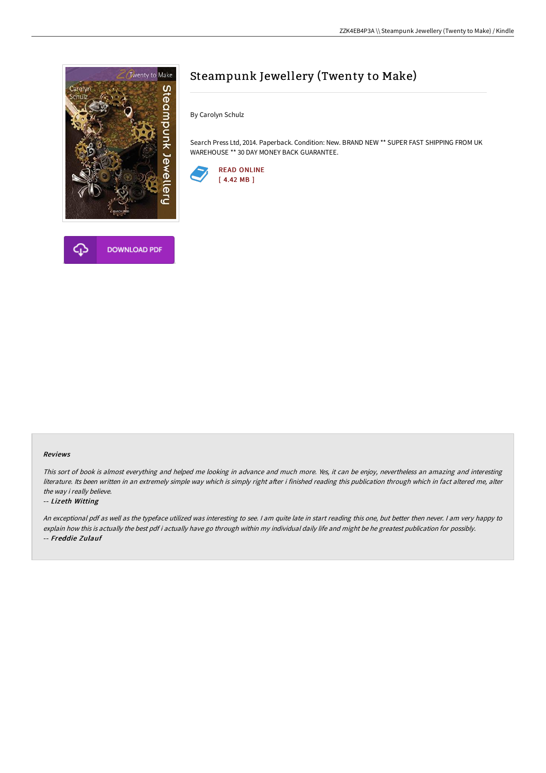



# Steampunk Jewellery (Twenty to Make)

By Carolyn Schulz

Search Press Ltd, 2014. Paperback. Condition: New. BRAND NEW \*\* SUPER FAST SHIPPING FROM UK WAREHOUSE \*\* 30 DAY MONEY BACK GUARANTEE.



#### Reviews

This sort of book is almost everything and helped me looking in advance and much more. Yes, it can be enjoy, nevertheless an amazing and interesting literature. Its been written in an extremely simple way which is simply right after i finished reading this publication through which in fact altered me, alter the way i really believe.

#### -- Lizeth Witting

An exceptional pdf as well as the typeface utilized was interesting to see. I am quite late in start reading this one, but better then never. I am very happy to explain how this is actually the best pdf i actually have go through within my individual daily life and might be he greatest publication for possibly. -- Freddie Zulauf